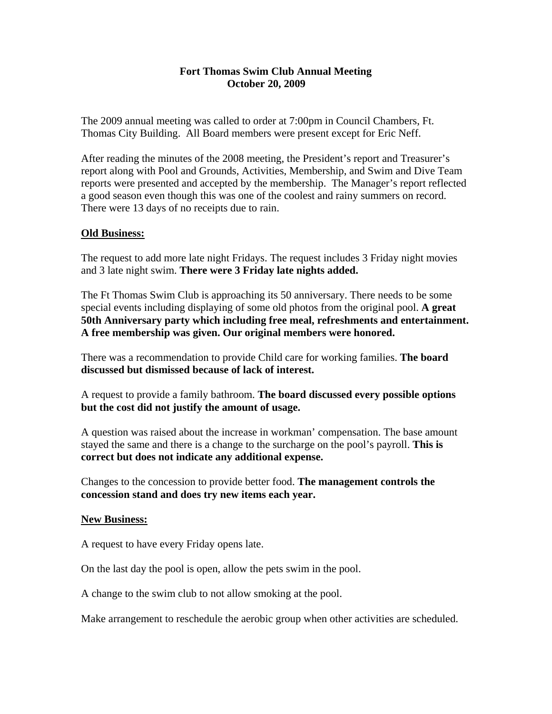## **Fort Thomas Swim Club Annual Meeting October 20, 2009**

The 2009 annual meeting was called to order at 7:00pm in Council Chambers, Ft. Thomas City Building. All Board members were present except for Eric Neff.

After reading the minutes of the 2008 meeting, the President's report and Treasurer's report along with Pool and Grounds, Activities, Membership, and Swim and Dive Team reports were presented and accepted by the membership. The Manager's report reflected a good season even though this was one of the coolest and rainy summers on record. There were 13 days of no receipts due to rain.

## **Old Business:**

The request to add more late night Fridays. The request includes 3 Friday night movies and 3 late night swim. **There were 3 Friday late nights added.**

The Ft Thomas Swim Club is approaching its 50 anniversary. There needs to be some special events including displaying of some old photos from the original pool. **A great 50th Anniversary party which including free meal, refreshments and entertainment. A free membership was given. Our original members were honored.** 

There was a recommendation to provide Child care for working families. **The board discussed but dismissed because of lack of interest.** 

A request to provide a family bathroom. **The board discussed every possible options but the cost did not justify the amount of usage.** 

A question was raised about the increase in workman' compensation. The base amount stayed the same and there is a change to the surcharge on the pool's payroll. **This is correct but does not indicate any additional expense.** 

Changes to the concession to provide better food. **The management controls the concession stand and does try new items each year.** 

## **New Business:**

A request to have every Friday opens late.

On the last day the pool is open, allow the pets swim in the pool.

A change to the swim club to not allow smoking at the pool.

Make arrangement to reschedule the aerobic group when other activities are scheduled.